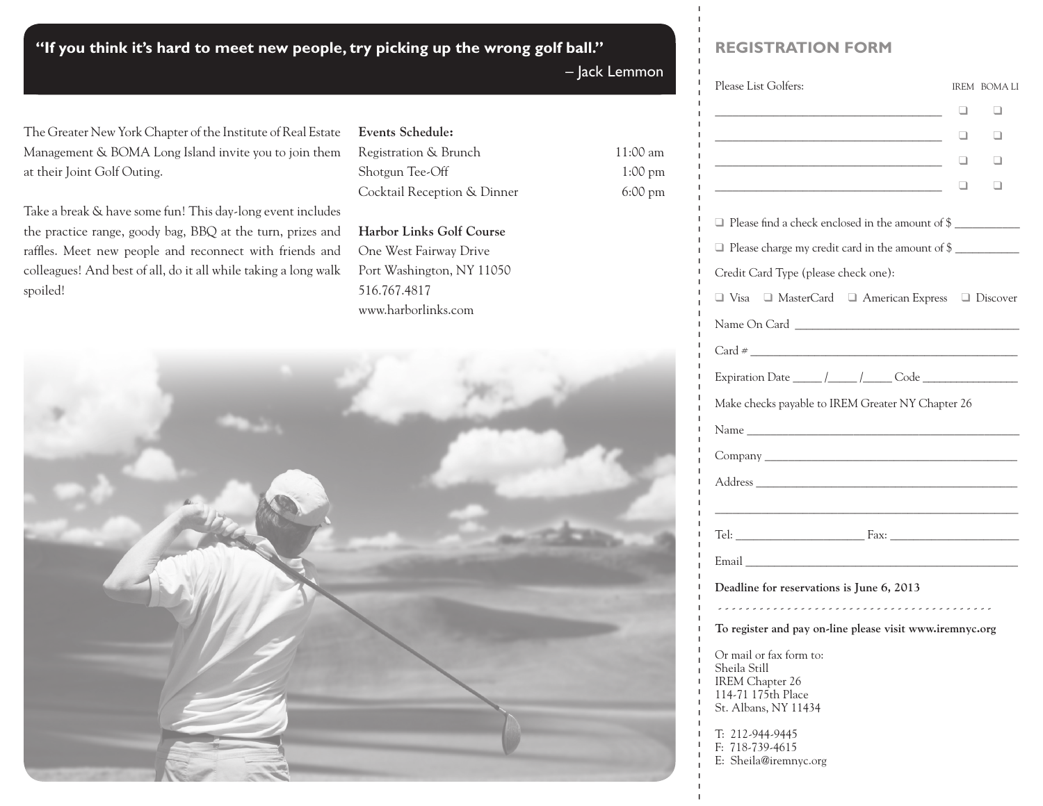**"If you think it's hard to meet new people, try picking up the wrong golf ball."**

**Events Schedule:**

516.767.4817

www.harborlinks.com

**Harbor Links Golf Course**  One West Fairway Drive Port Washington, NY 11050

Registration & Brunch 11:00 am Shotgun Tee-Off 1:00 pm Cocktail Reception & Dinner 6:00 pm

– Jack Lemmon

## **registration Form**

| Please List Golfers:                                                                                                   | IREM BOMALI              |
|------------------------------------------------------------------------------------------------------------------------|--------------------------|
|                                                                                                                        | ⊔<br>. .                 |
|                                                                                                                        | $\Box$<br>$\blacksquare$ |
|                                                                                                                        | $\Box$                   |
| <u> 1989 - Johann Barn, mars eta bainar eta baina eta baina eta baina eta baina eta baina eta baina eta baina e</u> ta |                          |
| Please find a check enclosed in the amount of \$                                                                       |                          |
| □ Please charge my credit card in the amount of \$                                                                     |                          |
| Credit Card Type (please check one):                                                                                   |                          |
| □ Visa □ MasterCard □ American Express □ Discover                                                                      |                          |
| Name On Card                                                                                                           |                          |
|                                                                                                                        |                          |
|                                                                                                                        |                          |
| Make checks payable to IREM Greater NY Chapter 26                                                                      |                          |
|                                                                                                                        |                          |
|                                                                                                                        |                          |
|                                                                                                                        |                          |
|                                                                                                                        |                          |
|                                                                                                                        |                          |
|                                                                                                                        |                          |
| Deadline for reservations is June 6, 2013                                                                              |                          |
|                                                                                                                        |                          |
| To register and pay on-line please visit www.iremnyc.org                                                               |                          |
| Or mail or fax form to:<br>Sheila Still<br>IREM Chapter 26<br>114-71 175th Place<br>St. Albans, NY 11434               |                          |
| T: 212-944-9445<br>F: 718-739-4615<br>E: Sheila@iremnyc.org                                                            |                          |
|                                                                                                                        |                          |
|                                                                                                                        |                          |

The Greater New York Chapter of the Institute of Real Estate Management & BOMA Long Island invite you to join them at their Joint Golf Outing.

Take a break & have some fun! This day-long event includes the practice range, goody bag, BBQ at the turn, prizes and raffles. Meet new people and reconnect with friends and colleagues! And best of all, do it all while taking a long walk spoiled!